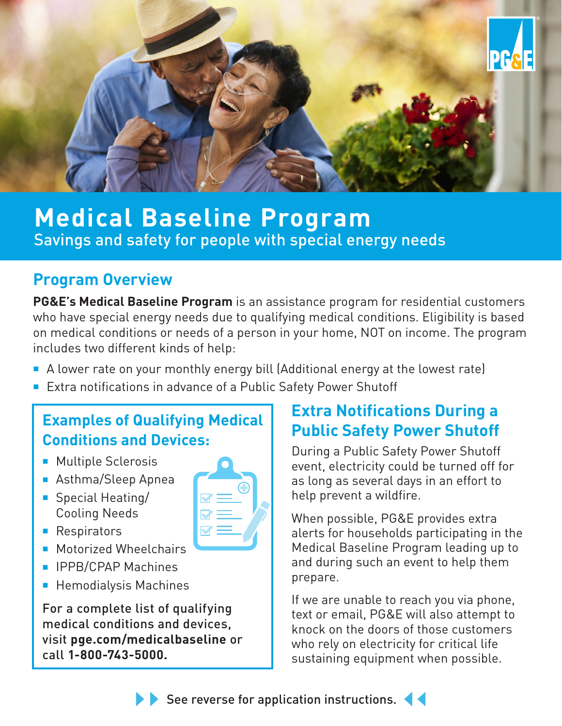

# **Medical Baseline Program** Savings and safety for people with special energy needs

## **Program Overview**

**PG&E's Medical Baseline Program** is an assistance program for residential customers who have special energy needs due to qualifying medical conditions. Eligibility is based on medical conditions or needs of a person in your home, NOT on income. The program includes two different kinds of help:

- A lower rate on your monthly energy bill (Additional energy at the lowest rate)
- Extra notifications in advance of a Public Safety Power Shutoff

## **Examples of Qualifying Medical Conditions and Devices:**

- Multiple Sclerosis
- Asthma/Sleep Apnea
- Special Heating/ Cooling Needs
- Respirators
- Motorized Wheelchairs
- IPPB/CPAP Machines
- Hemodialysis Machines

For a complete list of qualifying medical conditions and devices, visit **pge.com/medicalbaseline** or call **1-800-743-5000.**



During a Public Safety Power Shutoff event, electricity could be turned off for as long as several days in an effort to help prevent a wildfire.

When possible, PG&E provides extra alerts for households participating in the Medical Baseline Program leading up to and during such an event to help them prepare.

If we are unable to reach you via phone, text or email, PG&E will also attempt to knock on the doors of those customers who rely on electricity for critical life sustaining equipment when possible.